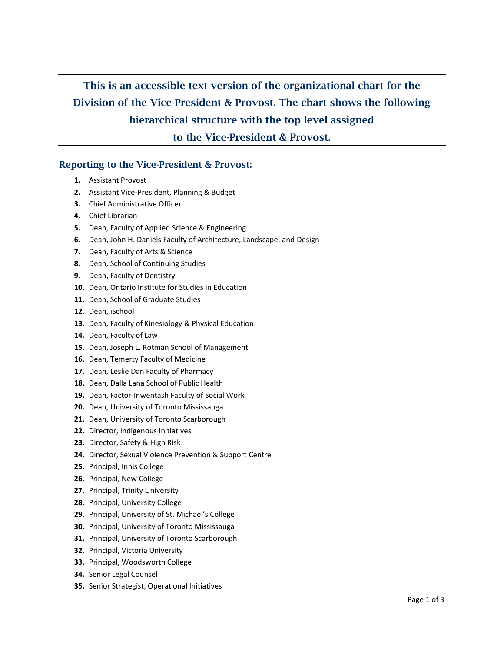# This is an accessible text version of the organizational chart for the Division of the Vice-President & Provost. The chart shows the following hierarchical structure with the top level assigned to the Vice-President & Provost.

#### Reporting to the Vice-President & Provost:

- **1.** Assistant Provost
- **2.** Assistant Vice-President, Planning & Budget
- **3.** Chief Administrative Officer
- **4.** Chief Librarian
- **5.** Dean, Faculty of Applied Science & Engineering
- **6.** Dean, John H. Daniels Faculty of Architecture, Landscape, and Design
- **7.** Dean, Faculty of Arts & Science
- **8.** Dean, School of Continuing Studies
- **9.** Dean, Faculty of Dentistry
- **10.** Dean, Ontario Institute for Studies in Education
- **11.** Dean, School of Graduate Studies
- **12.** Dean, iSchool
- **13.** Dean, Faculty of Kinesiology & Physical Education
- **14.** Dean, Faculty of Law
- **15.** Dean, Joseph L. Rotman School of Management
- **16.** Dean, Temerty Faculty of Medicine
- **17.** Dean, Leslie Dan Faculty of Pharmacy
- **18.** Dean, Dalla Lana School of Public Health
- **19.** Dean, Factor-Inwentash Faculty of Social Work
- **20.** Dean, University of Toronto Mississauga
- **21.** Dean, University of Toronto Scarborough
- **22.** Director, Indigenous Initiatives
- **23.** Director, Safety & High Risk
- **24.** Director, Sexual Violence Prevention & Support Centre
- **25.** Principal, Innis College
- **26.** Principal, New College
- **27.** Principal, Trinity University
- **28.** Principal, University College
- **29.** Principal, University of St. Michael's College
- **30.** Principal, University of Toronto Mississauga
- **31.** Principal, University of Toronto Scarborough
- **32.** Principal, Victoria University
- **33.** Principal, Woodsworth College
- **34.** Senior Legal Counsel
- **35.** Senior Strategist, Operational Initiatives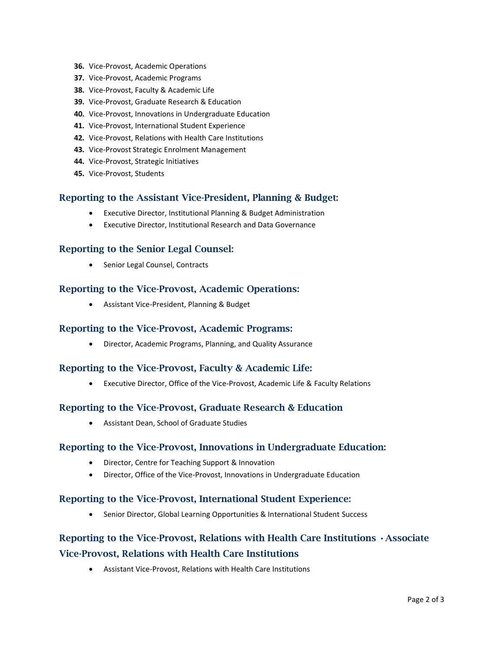- **36.** Vice-Provost, Academic Operations
- **37.** Vice-Provost, Academic Programs
- **38.** Vice-Provost, Faculty & Academic Life
- **39.** Vice-Provost, Graduate Research & Education
- **40.** Vice-Provost, Innovations in Undergraduate Education
- **41.** Vice-Provost, International Student Experience
- **42.** Vice-Provost, Relations with Health Care Institutions
- **43.** Vice-Provost Strategic Enrolment Management
- **44.** Vice-Provost, Strategic Initiatives
- **45.** Vice-Provost, Students

#### Reporting to the Assistant Vice-President, Planning & Budget:

- Executive Director, Institutional Planning & Budget Administration
- Executive Director, Institutional Research and Data Governance

#### Reporting to the Senior Legal Counsel:

• Senior Legal Counsel, Contracts

#### Reporting to the Vice-Provost, Academic Operations:

• Assistant Vice-President, Planning & Budget

#### Reporting to the Vice-Provost, Academic Programs:

• Director, Academic Programs, Planning, and Quality Assurance

#### Reporting to the Vice-Provost, Faculty & Academic Life:

• Executive Director, Office of the Vice-Provost, Academic Life & Faculty Relations

#### Reporting to the Vice-Provost, Graduate Research & Education

• Assistant Dean, School of Graduate Studies

#### Reporting to the Vice-Provost, Innovations in Undergraduate Education:

- Director, Centre for Teaching Support & Innovation
- Director, Office of the Vice-Provost, Innovations in Undergraduate Education

#### Reporting to the Vice-Provost, International Student Experience:

• Senior Director, Global Learning Opportunities & International Student Success

# Reporting to the Vice-Provost, Relations with Health Care Institutions •Associate Vice-Provost, Relations with Health Care Institutions

• Assistant Vice-Provost, Relations with Health Care Institutions